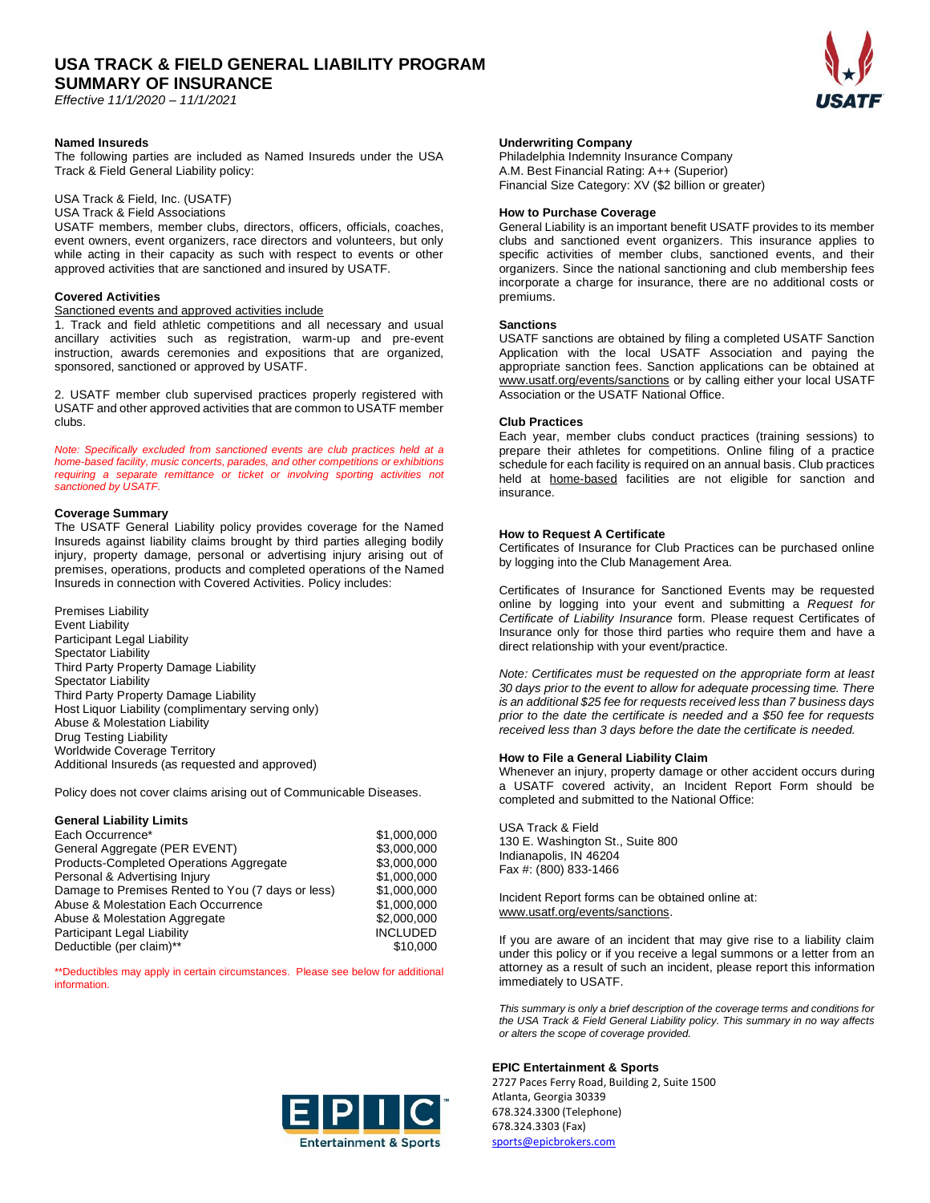*Effective 11/1/2020 – 11/1/2021*

# **Named Insureds**

The following parties are included as Named Insureds under the USA Track & Field General Liability policy:

# USA Track & Field, Inc. (USATF)

USA Track & Field Associations USATF members, member clubs, directors, officers, officials, coaches, event owners, event organizers, race directors and volunteers, but only while acting in their capacity as such with respect to events or other

approved activities that are sanctioned and insured by USATF.

# **Covered Activities**

# Sanctioned events and approved activities include

1. Track and field athletic competitions and all necessary and usual ancillary activities such as registration, warm-up and pre-event instruction, awards ceremonies and expositions that are organized, sponsored, sanctioned or approved by USATF.

2. USATF member club supervised practices properly registered with USATF and other approved activities that are common to USATF member clubs.

*Note: Specifically excluded from sanctioned events are club practices held at a home-based facility, music concerts, parades, and other competitions or exhibitions*  requiring a separate remittance or ticket or involving sporting activities not *sanctioned by USATF.*

# **Coverage Summary**

The USATF General Liability policy provides coverage for the Named Insureds against liability claims brought by third parties alleging bodily injury, property damage, personal or advertising injury arising out of premises, operations, products and completed operations of the Named Insureds in connection with Covered Activities. Policy includes:

Premises Liability Event Liability Participant Legal Liability Spectator Liability Third Party Property Damage Liability Spectator Liability Third Party Property Damage Liability Host Liquor Liability (complimentary serving only) Abuse & Molestation Liability Drug Testing Liability Worldwide Coverage Territory Additional Insureds (as requested and approved)

Policy does not cover claims arising out of Communicable Diseases.

# **General Liability Limits**

Each Occurrence\*  $$1,000,000$ General Aggregate (PER EVENT) \$3,000,000 Products-Completed Operations Aggregate \$3,000,000 Personal & Advertising Injury \$1,000,000 Damage to Premises Rented to You (7 days or less) \$1,000,000 Abuse & Molestation Each Occurrence  $$1,000,000$ Abuse & Molestation Aggregate<br>
Participant Legal Liability<br>
1NCLUDED Participant Legal Liability Deductible (per claim)\*\*  $$10,000$ 

\*\*Deductibles may apply in certain circumstances. Please see below for additional information.



# **Underwriting Company**

Philadelphia Indemnity Insurance Company A.M. Best Financial Rating: A++ (Superior) Financial Size Category: XV (\$2 billion or greater)

# **How to Purchase Coverage**

General Liability is an important benefit USATF provides to its member clubs and sanctioned event organizers. This insurance applies to specific activities of member clubs, sanctioned events, and their organizers. Since the national sanctioning and club membership fees incorporate a charge for insurance, there are no additional costs or premiums.

# **Sanctions**

USATF sanctions are obtained by filing a completed USATF Sanction Application with the local USATF Association and paying the appropriate sanction fees. Sanction applications can be obtained at www.usatf.org/events/sanctions or by calling either your local USATF Association or the USATF National Office.

# **Club Practices**

Each year, member clubs conduct practices (training sessions) to prepare their athletes for competitions. Online filing of a practice schedule for each facility is required on an annual basis. Club practices held at home-based facilities are not eligible for sanction and insurance.

# **How to Request A Certificate**

Certificates of Insurance for Club Practices can be purchased online by logging into the Club Management Area.

Certificates of Insurance for Sanctioned Events may be requested online by logging into your event and submitting a *Request for Certificate of Liability Insurance* form. Please request Certificates of Insurance only for those third parties who require them and have a direct relationship with your event/practice.

*Note: Certificates must be requested on the appropriate form at least 30 days prior to the event to allow for adequate processing time. There is an additional \$25 fee for requests received less than 7 business days prior to the date the certificate is needed and a \$50 fee for requests received less than 3 days before the date the certificate is needed.*

# **How to File a General Liability Claim**

Whenever an injury, property damage or other accident occurs during a USATF covered activity, an Incident Report Form should be completed and submitted to the National Office:

USA Track & Field 130 E. Washington St., Suite 800 Indianapolis, IN 46204 Fax #: (800) 833-1466

Incident Report forms can be obtained online at: www.usatf.org/events/sanctions.

If you are aware of an incident that may give rise to a liability claim under this policy or if you receive a legal summons or a letter from an attorney as a result of such an incident, please report this information immediately to USATF.

*This summary is only a brief description of the coverage terms and conditions for the USA Track & Field General Liability policy. This summary in no way affects or alters the scope of coverage provided.* 

# **EPIC Entertainment & Sports**

2727 Paces Ferry Road, Building 2, Suite 1500 Atlanta, Georgia 30339 678.324.3300 (Telephone) 678.324.3303 (Fax) [sports@epicbrokers.com](mailto:sports@epicbrokers.com%0d)

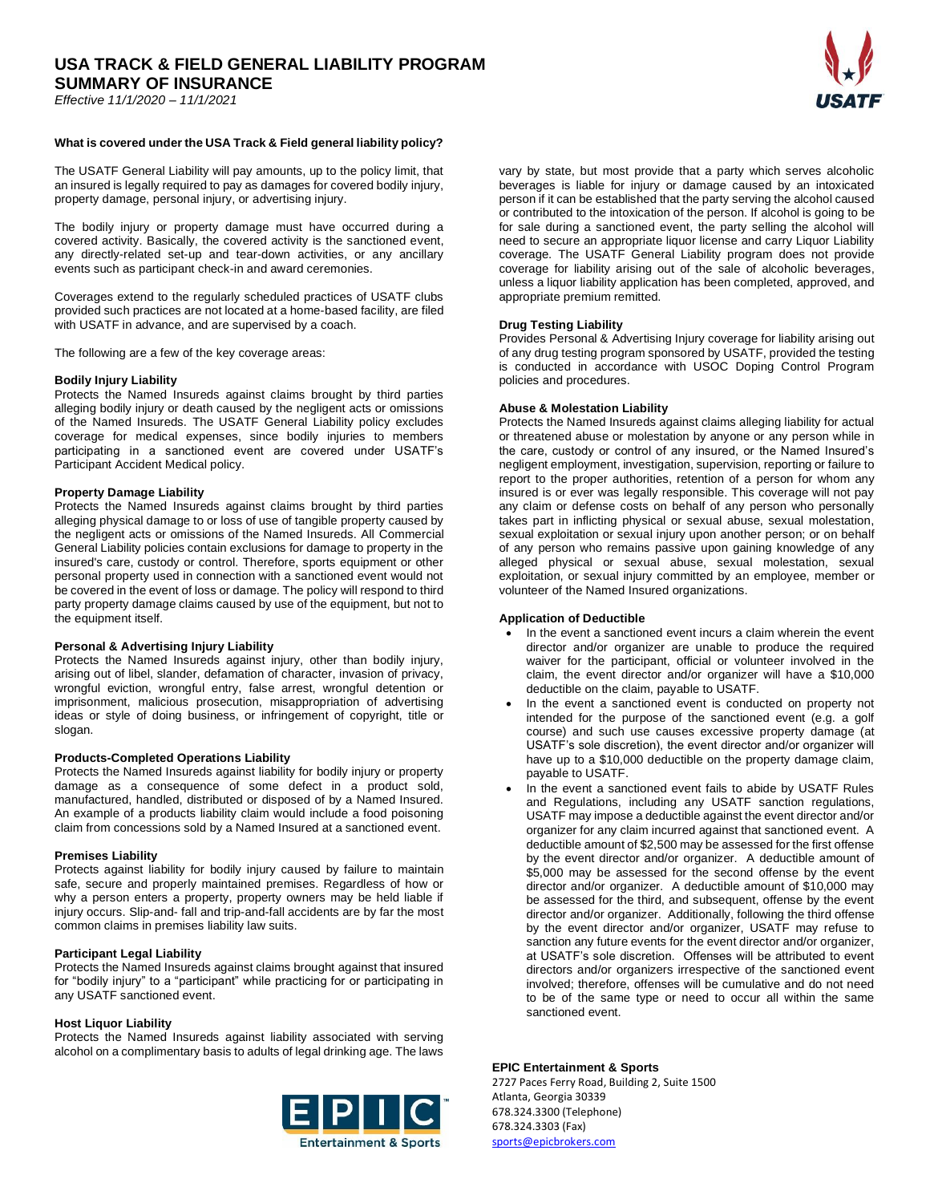*Effective 11/1/2020 – 11/1/2021*

# **What is covered under the USA Track & Field general liability policy?**

The USATF General Liability will pay amounts, up to the policy limit, that an insured is legally required to pay as damages for covered bodily injury, property damage, personal injury, or advertising injury.

The bodily injury or property damage must have occurred during a covered activity. Basically, the covered activity is the sanctioned event, any directly-related set-up and tear-down activities, or any ancillary events such as participant check-in and award ceremonies.

Coverages extend to the regularly scheduled practices of USATF clubs provided such practices are not located at a home-based facility, are filed with USATF in advance, and are supervised by a coach.

The following are a few of the key coverage areas:

# **Bodily Injury Liability**

Protects the Named Insureds against claims brought by third parties alleging bodily injury or death caused by the negligent acts or omissions of the Named Insureds. The USATF General Liability policy excludes coverage for medical expenses, since bodily injuries to members participating in a sanctioned event are covered under USATF's Participant Accident Medical policy.

# **Property Damage Liability**

Protects the Named Insureds against claims brought by third parties alleging physical damage to or loss of use of tangible property caused by the negligent acts or omissions of the Named Insureds. All Commercial General Liability policies contain exclusions for damage to property in the insured's care, custody or control. Therefore, sports equipment or other personal property used in connection with a sanctioned event would not be covered in the event of loss or damage. The policy will respond to third party property damage claims caused by use of the equipment, but not to the equipment itself.

# **Personal & Advertising Injury Liability**

Protects the Named Insureds against injury, other than bodily injury, arising out of libel, slander, defamation of character, invasion of privacy, wrongful eviction, wrongful entry, false arrest, wrongful detention or imprisonment, malicious prosecution, misappropriation of advertising ideas or style of doing business, or infringement of copyright, title or slogan.

### **Products-Completed Operations Liability**

Protects the Named Insureds against liability for bodily injury or property damage as a consequence of some defect in a product sold, manufactured, handled, distributed or disposed of by a Named Insured. An example of a products liability claim would include a food poisoning claim from concessions sold by a Named Insured at a sanctioned event.

### **Premises Liability**

Protects against liability for bodily injury caused by failure to maintain safe, secure and properly maintained premises. Regardless of how or why a person enters a property, property owners may be held liable if injury occurs. Slip-and- fall and trip-and-fall accidents are by far the most common claims in premises liability law suits.

# **Participant Legal Liability**

Protects the Named Insureds against claims brought against that insured for "bodily injury" to a "participant" while practicing for or participating in any USATF sanctioned event.

# **Host Liquor Liability**

Protects the Named Insureds against liability associated with serving alcohol on a complimentary basis to adults of legal drinking age. The laws



vary by state, but most provide that a party which serves alcoholic beverages is liable for injury or damage caused by an intoxicated person if it can be established that the party serving the alcohol caused or contributed to the intoxication of the person. If alcohol is going to be for sale during a sanctioned event, the party selling the alcohol will need to secure an appropriate liquor license and carry Liquor Liability coverage. The USATF General Liability program does not provide coverage for liability arising out of the sale of alcoholic beverages, unless a liquor liability application has been completed, approved, and appropriate premium remitted.

### **Drug Testing Liability**

Provides Personal & Advertising Injury coverage for liability arising out of any drug testing program sponsored by USATF, provided the testing is conducted in accordance with USOC Doping Control Program policies and procedures.

# **Abuse & Molestation Liability**

Protects the Named Insureds against claims alleging liability for actual or threatened abuse or molestation by anyone or any person while in the care, custody or control of any insured, or the Named Insured's negligent employment, investigation, supervision, reporting or failure to report to the proper authorities, retention of a person for whom any insured is or ever was legally responsible. This coverage will not pay any claim or defense costs on behalf of any person who personally takes part in inflicting physical or sexual abuse, sexual molestation, sexual exploitation or sexual injury upon another person; or on behalf of any person who remains passive upon gaining knowledge of any alleged physical or sexual abuse, sexual molestation, sexual exploitation, or sexual injury committed by an employee, member or volunteer of the Named Insured organizations.

# **Application of Deductible**

- In the event a sanctioned event incurs a claim wherein the event director and/or organizer are unable to produce the required waiver for the participant, official or volunteer involved in the claim, the event director and/or organizer will have a \$10,000 deductible on the claim, payable to USATF.
- In the event a sanctioned event is conducted on property not intended for the purpose of the sanctioned event (e.g. a golf course) and such use causes excessive property damage (at USATF's sole discretion), the event director and/or organizer will have up to a \$10,000 deductible on the property damage claim, payable to USATF.
- In the event a sanctioned event fails to abide by USATF Rules and Regulations, including any USATF sanction regulations, USATF may impose a deductible against the event director and/or organizer for any claim incurred against that sanctioned event. A deductible amount of \$2,500 may be assessed for the first offense by the event director and/or organizer. A deductible amount of \$5,000 may be assessed for the second offense by the event director and/or organizer. A deductible amount of \$10,000 may be assessed for the third, and subsequent, offense by the event director and/or organizer. Additionally, following the third offense by the event director and/or organizer, USATF may refuse to sanction any future events for the event director and/or organizer, at USATF's sole discretion. Offenses will be attributed to event directors and/or organizers irrespective of the sanctioned event involved; therefore, offenses will be cumulative and do not need to be of the same type or need to occur all within the same sanctioned event.

### **EPIC Entertainment & Sports**

2727 Paces Ferry Road, Building 2, Suite 1500 Atlanta, Georgia 30339 678.324.3300 (Telephone) 678.324.3303 (Fax) [sports@epicbrokers.com](mailto:sports@epicbrokers.com%0d)

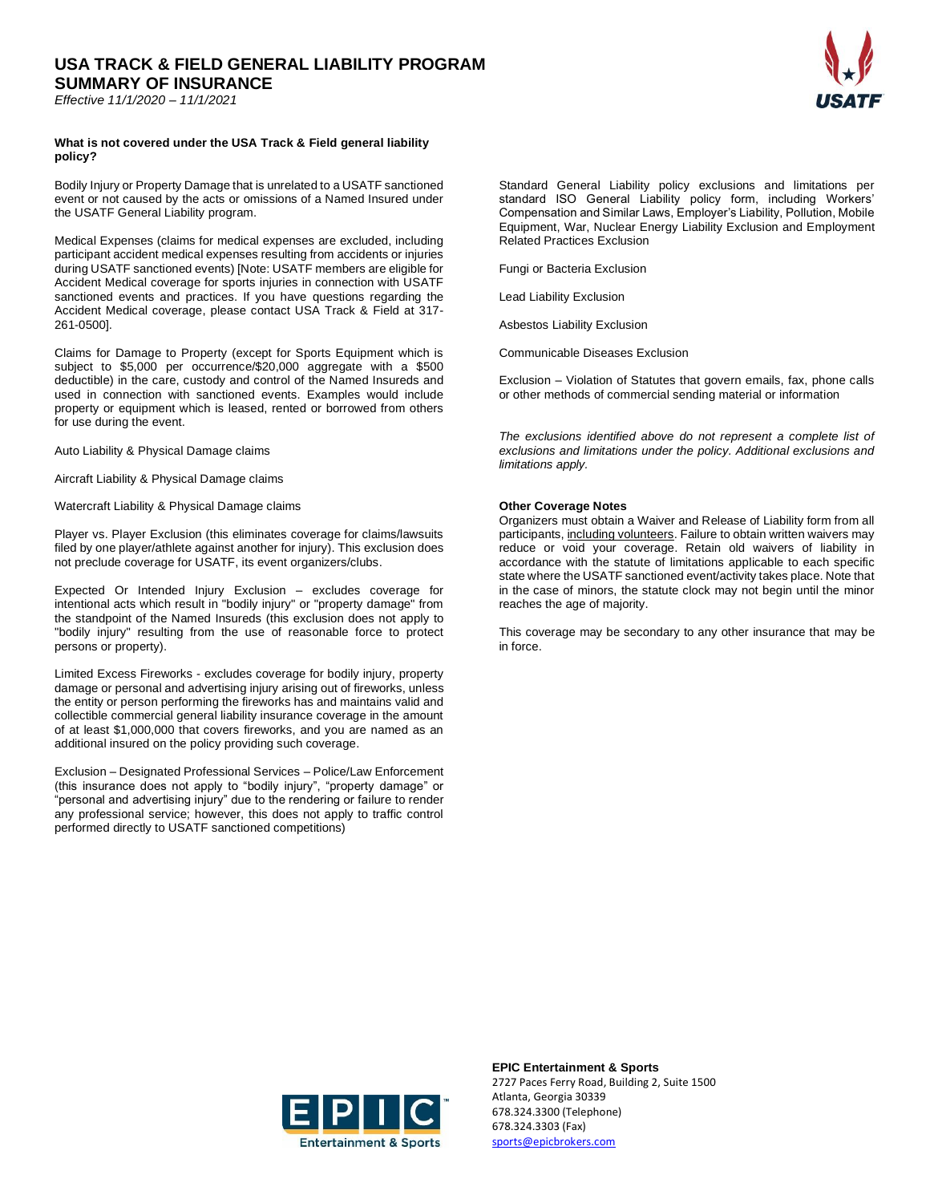*Effective 11/1/2020 – 11/1/2021*

# **What is not covered under the USA Track & Field general liability policy?**

Bodily Injury or Property Damage that is unrelated to a USATF sanctioned event or not caused by the acts or omissions of a Named Insured under the USATF General Liability program.

Medical Expenses (claims for medical expenses are excluded, including participant accident medical expenses resulting from accidents or injuries during USATF sanctioned events) [Note: USATF members are eligible for Accident Medical coverage for sports injuries in connection with USATF sanctioned events and practices. If you have questions regarding the Accident Medical coverage, please contact USA Track & Field at 317- 261-0500].

Claims for Damage to Property (except for Sports Equipment which is subject to \$5,000 per occurrence/\$20,000 aggregate with a \$500 deductible) in the care, custody and control of the Named Insureds and used in connection with sanctioned events. Examples would include property or equipment which is leased, rented or borrowed from others for use during the event.

Auto Liability & Physical Damage claims

Aircraft Liability & Physical Damage claims

Watercraft Liability & Physical Damage claims

Player vs. Player Exclusion (this eliminates coverage for claims/lawsuits filed by one player/athlete against another for injury). This exclusion does not preclude coverage for USATF, its event organizers/clubs.

Expected Or Intended Injury Exclusion – excludes coverage for intentional acts which result in "bodily injury" or "property damage" from the standpoint of the Named Insureds (this exclusion does not apply to "bodily injury" resulting from the use of reasonable force to protect persons or property).

Limited Excess Fireworks - excludes coverage for bodily injury, property damage or personal and advertising injury arising out of fireworks, unless the entity or person performing the fireworks has and maintains valid and collectible commercial general liability insurance coverage in the amount of at least \$1,000,000 that covers fireworks, and you are named as an additional insured on the policy providing such coverage.

Exclusion – Designated Professional Services – Police/Law Enforcement (this insurance does not apply to "bodily injury", "property damage" or "personal and advertising injury" due to the rendering or failure to render any professional service; however, this does not apply to traffic control performed directly to USATF sanctioned competitions)

Standard General Liability policy exclusions and limitations per standard ISO General Liability policy form, including Workers' Compensation and Similar Laws, Employer's Liability, Pollution, Mobile Equipment, War, Nuclear Energy Liability Exclusion and Employment Related Practices Exclusion

Fungi or Bacteria Exclusion

Lead Liability Exclusion

Asbestos Liability Exclusion

Communicable Diseases Exclusion

Exclusion – Violation of Statutes that govern emails, fax, phone calls or other methods of commercial sending material or information

*The exclusions identified above do not represent a complete list of exclusions and limitations under the policy. Additional exclusions and limitations apply.*

# **Other Coverage Notes**

Organizers must obtain a Waiver and Release of Liability form from all participants, including volunteers. Failure to obtain written waivers may reduce or void your coverage. Retain old waivers of liability in accordance with the statute of limitations applicable to each specific state where the USATF sanctioned event/activity takes place. Note that in the case of minors, the statute clock may not begin until the minor reaches the age of majority.

This coverage may be secondary to any other insurance that may be in force.



**EPIC Entertainment & Sports** 2727 Paces Ferry Road, Building 2, Suite 1500 Atlanta, Georgia 30339 678.324.3300 (Telephone) 678.324.3303 (Fax) [sports@epicbrokers.com](mailto:sports@epicbrokers.com%0d)

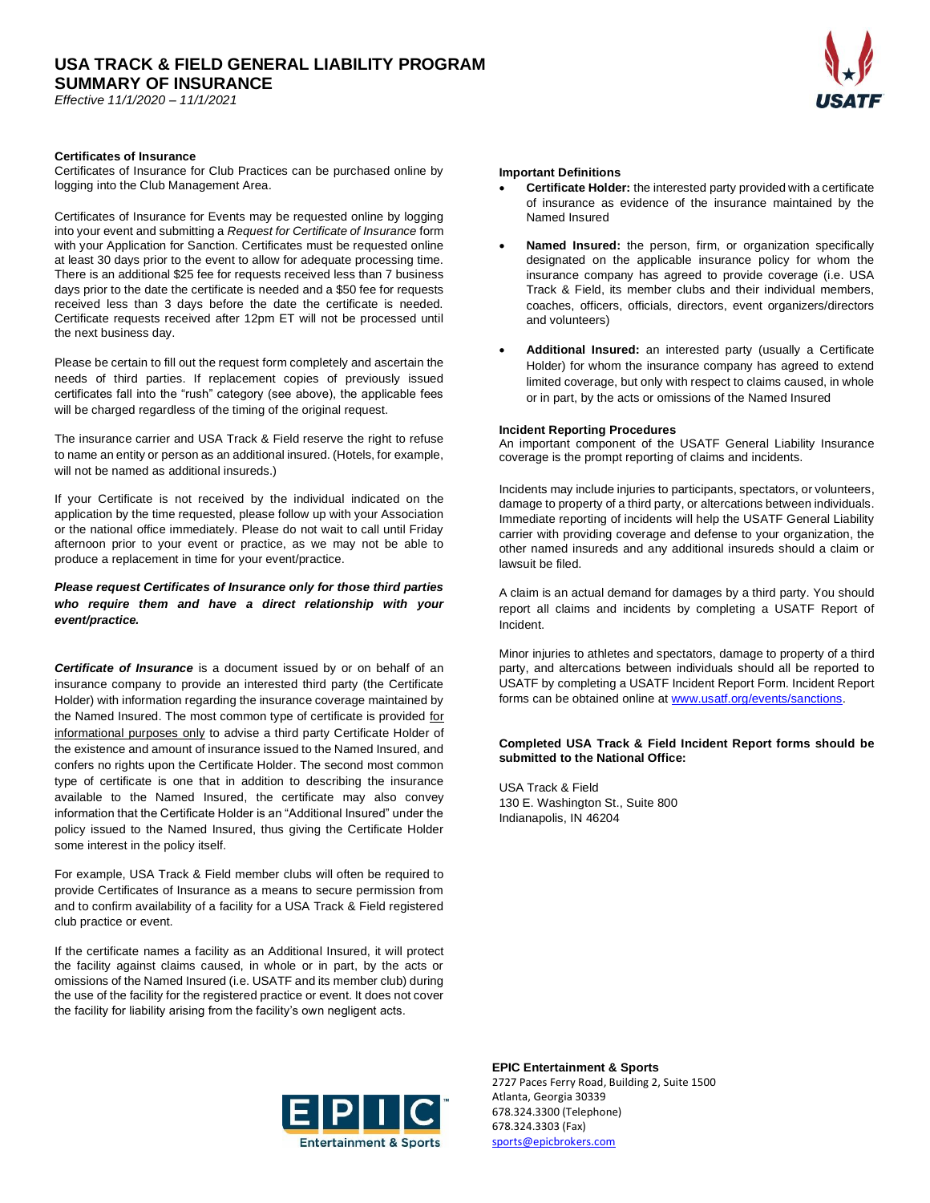*Effective 11/1/2020 – 11/1/2021*

# **Certificates of Insurance**

Certificates of Insurance for Club Practices can be purchased online by logging into the Club Management Area.

Certificates of Insurance for Events may be requested online by logging into your event and submitting a *Request for Certificate of Insurance* form with your Application for Sanction. Certificates must be requested online at least 30 days prior to the event to allow for adequate processing time. There is an additional \$25 fee for requests received less than 7 business days prior to the date the certificate is needed and a \$50 fee for requests received less than 3 days before the date the certificate is needed. Certificate requests received after 12pm ET will not be processed until the next business day.

Please be certain to fill out the request form completely and ascertain the needs of third parties. If replacement copies of previously issued certificates fall into the "rush" category (see above), the applicable fees will be charged regardless of the timing of the original request.

The insurance carrier and USA Track & Field reserve the right to refuse to name an entity or person as an additional insured. (Hotels, for example, will not be named as additional insureds.)

If your Certificate is not received by the individual indicated on the application by the time requested, please follow up with your Association or the national office immediately. Please do not wait to call until Friday afternoon prior to your event or practice, as we may not be able to produce a replacement in time for your event/practice.

# *Please request Certificates of Insurance only for those third parties who require them and have a direct relationship with your event/practice.*

*Certificate of Insurance* is a document issued by or on behalf of an insurance company to provide an interested third party (the Certificate Holder) with information regarding the insurance coverage maintained by the Named Insured. The most common type of certificate is provided for informational purposes only to advise a third party Certificate Holder of the existence and amount of insurance issued to the Named Insured, and confers no rights upon the Certificate Holder. The second most common type of certificate is one that in addition to describing the insurance available to the Named Insured, the certificate may also convey information that the Certificate Holder is an "Additional Insured" under the policy issued to the Named Insured, thus giving the Certificate Holder some interest in the policy itself.

For example, USA Track & Field member clubs will often be required to provide Certificates of Insurance as a means to secure permission from and to confirm availability of a facility for a USA Track & Field registered club practice or event.

If the certificate names a facility as an Additional Insured, it will protect the facility against claims caused, in whole or in part, by the acts or omissions of the Named Insured (i.e. USATF and its member club) during the use of the facility for the registered practice or event. It does not cover the facility for liability arising from the facility's own negligent acts.

# **Important Definitions**

- **Certificate Holder:** the interested party provided with a certificate of insurance as evidence of the insurance maintained by the Named Insured
- **Named Insured:** the person, firm, or organization specifically designated on the applicable insurance policy for whom the insurance company has agreed to provide coverage (i.e. USA Track & Field, its member clubs and their individual members, coaches, officers, officials, directors, event organizers/directors and volunteers)
- **Additional Insured:** an interested party (usually a Certificate Holder) for whom the insurance company has agreed to extend limited coverage, but only with respect to claims caused, in whole or in part, by the acts or omissions of the Named Insured

# **Incident Reporting Procedures**

An important component of the USATF General Liability Insurance coverage is the prompt reporting of claims and incidents.

Incidents may include injuries to participants, spectators, or volunteers, damage to property of a third party, or altercations between individuals. Immediate reporting of incidents will help the USATF General Liability carrier with providing coverage and defense to your organization, the other named insureds and any additional insureds should a claim or lawsuit be filed.

A claim is an actual demand for damages by a third party. You should report all claims and incidents by completing a USATF Report of Incident.

Minor injuries to athletes and spectators, damage to property of a third party, and altercations between individuals should all be reported to USATF by completing a USATF Incident Report Form. Incident Report forms can be obtained online at [www.usatf.org/events/sanctions.](http://www.usatf.org/events/sanctions)

# **Completed USA Track & Field Incident Report forms should be submitted to the National Office:**

USA Track & Field 130 E. Washington St., Suite 800 Indianapolis, IN 46204



**EPIC Entertainment & Sports** 2727 Paces Ferry Road, Building 2, Suite 1500 Atlanta, Georgia 30339 678.324.3300 (Telephone) 678.324.3303 (Fax) [sports@epicbrokers.com](mailto:sports@epicbrokers.com%0d)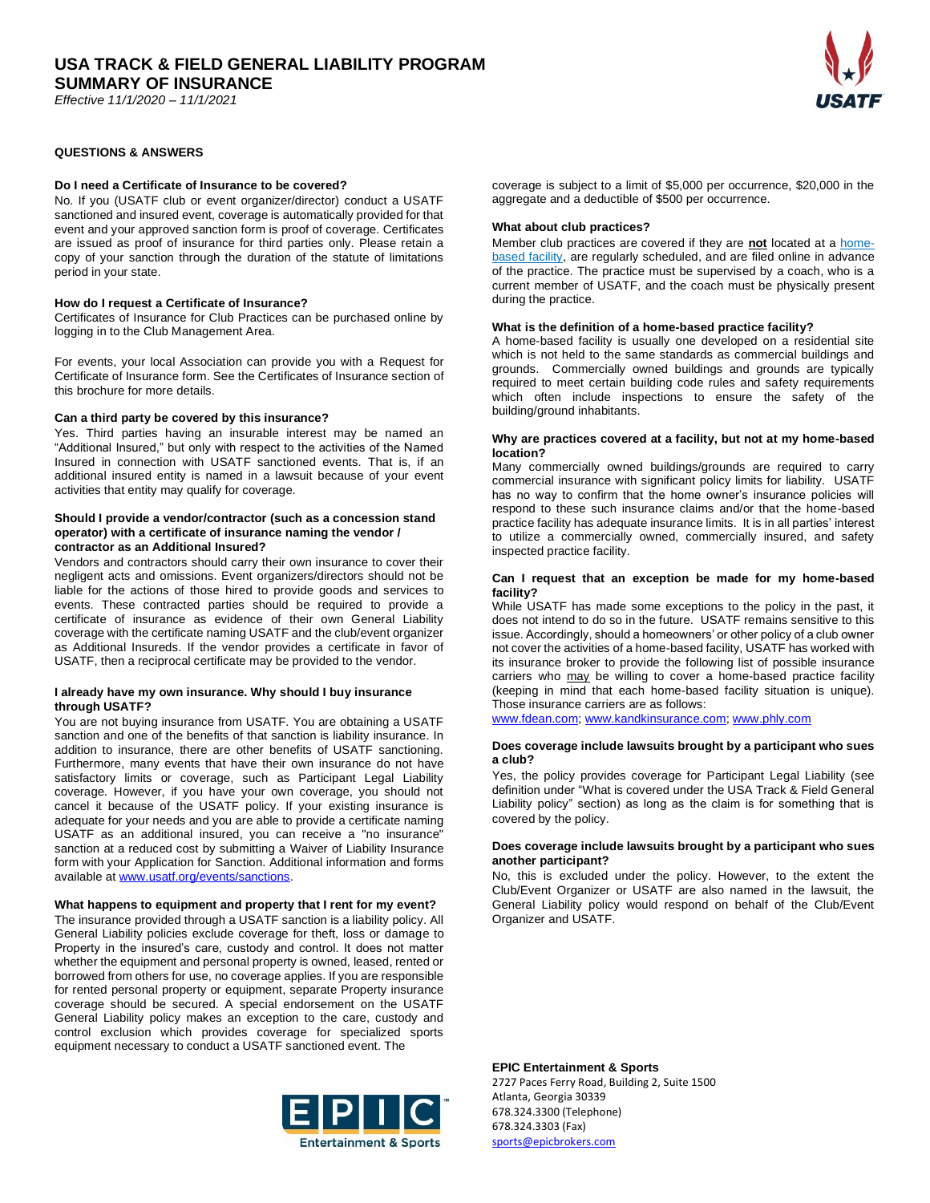*Effective 11/1/2020 – 11/1/2021*

# **QUESTIONS & ANSWERS**

# **Do I need a Certificate of Insurance to be covered?**

No. If you (USATF club or event organizer/director) conduct a USATF sanctioned and insured event, coverage is automatically provided for that event and your approved sanction form is proof of coverage. Certificates are issued as proof of insurance for third parties only. Please retain a copy of your sanction through the duration of the statute of limitations period in your state.

### **How do I request a Certificate of Insurance?**

Certificates of Insurance for Club Practices can be purchased online by logging in to the Club Management Area.

For events, your local Association can provide you with a Request for Certificate of Insurance form. See the Certificates of Insurance section of this brochure for more details.

# **Can a third party be covered by this insurance?**

Yes. Third parties having an insurable interest may be named an "Additional Insured," but only with respect to the activities of the Named Insured in connection with USATF sanctioned events. That is, if an additional insured entity is named in a lawsuit because of your event activities that entity may qualify for coverage.

# **Should I provide a vendor/contractor (such as a concession stand operator) with a certificate of insurance naming the vendor / contractor as an Additional Insured?**

Vendors and contractors should carry their own insurance to cover their negligent acts and omissions. Event organizers/directors should not be liable for the actions of those hired to provide goods and services to events. These contracted parties should be required to provide a certificate of insurance as evidence of their own General Liability coverage with the certificate naming USATF and the club/event organizer as Additional Insureds. If the vendor provides a certificate in favor of USATF, then a reciprocal certificate may be provided to the vendor.

# **I already have my own insurance. Why should I buy insurance through USATF?**

You are not buying insurance from USATF. You are obtaining a USATF sanction and one of the benefits of that sanction is liability insurance. In addition to insurance, there are other benefits of USATF sanctioning. Furthermore, many events that have their own insurance do not have satisfactory limits or coverage, such as Participant Legal Liability coverage. However, if you have your own coverage, you should not cancel it because of the USATF policy. If your existing insurance is adequate for your needs and you are able to provide a certificate naming USATF as an additional insured, you can receive a "no insurance" sanction at a reduced cost by submitting a Waiver of Liability Insurance form with your Application for Sanction. Additional information and forms available at www.usatf.org/events/sanctions.

# **What happens to equipment and property that I rent for my event?**

The insurance provided through a USATF sanction is a liability policy. All General Liability policies exclude coverage for theft, loss or damage to Property in the insured's care, custody and control. It does not matter whether the equipment and personal property is owned, leased, rented or borrowed from others for use, no coverage applies. If you are responsible for rented personal property or equipment, separate Property insurance coverage should be secured. A special endorsement on the USATF General Liability policy makes an exception to the care, custody and control exclusion which provides coverage for specialized sports equipment necessary to conduct a USATF sanctioned event. The



coverage is subject to a limit of \$5,000 per occurrence, \$20,000 in the aggregate and a deductible of \$500 per occurrence.

### **What about club practices?**

Member club practices are covered if they are **not** located at a homebased facility, are regularly scheduled, and are filed online in advance of the practice. The practice must be supervised by a coach, who is a current member of USATF, and the coach must be physically present during the practice.

### **What is the definition of a home-based practice facility?**

A home-based facility is usually one developed on a residential site which is not held to the same standards as commercial buildings and grounds. Commercially owned buildings and grounds are typically required to meet certain building code rules and safety requirements which often include inspections to ensure the safety of the building/ground inhabitants.

### **Why are practices covered at a facility, but not at my home-based location?**

Many commercially owned buildings/grounds are required to carry commercial insurance with significant policy limits for liability. USATF has no way to confirm that the home owner's insurance policies will respond to these such insurance claims and/or that the home-based practice facility has adequate insurance limits. It is in all parties' interest to utilize a commercially owned, commercially insured, and safety inspected practice facility.

### **Can I request that an exception be made for my home-based facility?**

While USATF has made some exceptions to the policy in the past, it does not intend to do so in the future. USATF remains sensitive to this issue. Accordingly, should a homeowners' or other policy of a club owner not cover the activities of a home-based facility, USATF has worked with its insurance broker to provide the following list of possible insurance carriers who may be willing to cover a home-based practice facility (keeping in mind that each home-based facility situation is unique). Those insurance carriers are as follows:

[www.fdean.com;](http://www.fdean.com/) [www.kandkinsurance.com;](http://www.kandkinsurance.com/) [www.phly.com](http://www.phly.com/)

### **Does coverage include lawsuits brought by a participant who sues a club?**

Yes, the policy provides coverage for Participant Legal Liability (see definition under "What is covered under the USA Track & Field General Liability policy" section) as long as the claim is for something that is covered by the policy.

# **Does coverage include lawsuits brought by a participant who sues another participant?**

No, this is excluded under the policy. However, to the extent the Club/Event Organizer or USATF are also named in the lawsuit, the General Liability policy would respond on behalf of the Club/Event Organizer and USATF.

**EPIC Entertainment & Sports**

2727 Paces Ferry Road, Building 2, Suite 1500 Atlanta, Georgia 30339 678.324.3300 (Telephone) 678.324.3303 (Fax) [sports@epicbrokers.com](mailto:sports@epicbrokers.com%0d)